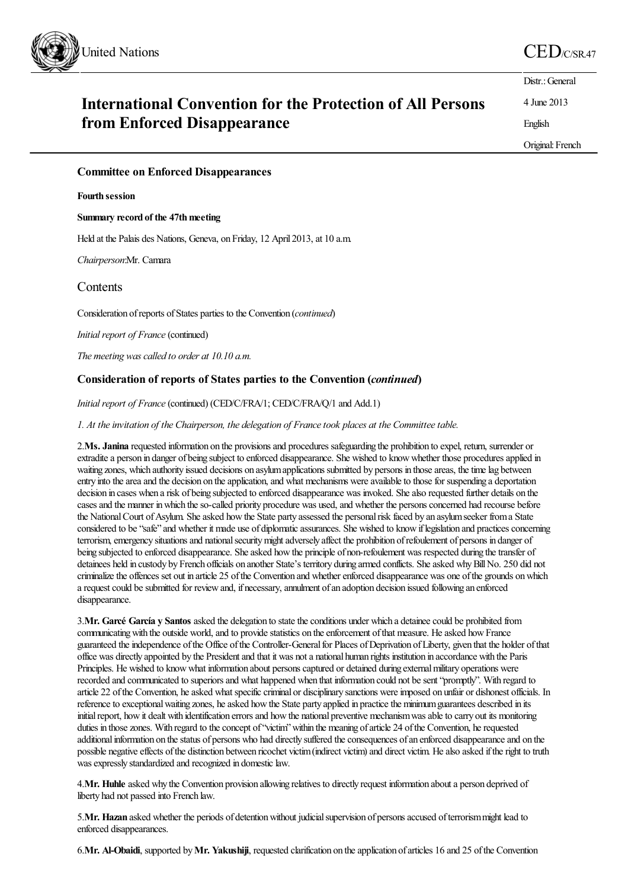

| <b>International Convention for the Protection of All Persons</b> |  |
|-------------------------------------------------------------------|--|
| from Enforced Disappearance                                       |  |

Original: French

English

Distr.: General 4 June 2013

## **Committee on Enforced Disappearances**

### **Fourth session**

**Summary record of the 47thmeeting**

Held at the Palais des Nations, Geneva, on Friday, 12 April 2013, at 10 a.m.

*Chairperson*:Mr. Camara

# **Contents**

Consideration of reports of States parties to the Convention (*continued*)

*Initial report of France* (continued)

*The meeting wascalled to order at 10.10 a.m.*

# **Consideration of reports of States parties to the Convention (***continued***)**

*Initial report of France* (continued) (CED/C/FRA/1; CED/C/FRA/Q/1 and Add.1)

*1. At theinvitation of the Chairperson, the delegation of Francetook places at the Committeetable.*

2.**Ms. Janina** requested information on the provisionsand procedures safeguarding the prohibition to expel, return, surrender or extradite a person in danger of being subject to enforced disappearance. She wished to know whether those procedures applied in waiting zones, which authority issued decisions on asylum applications submitted by persons in those areas, the time lag between entry into the area and the decision on the application, and what mechanisms were available to those for suspending a deportation decision in cases when a risk of being subjected to enforced disappearance was invoked. She also requested further details on the cases and the manner in which the so-called priority procedure was used, and whether the persons concerned had recourse before the National Court of Asylum. She asked how the State party assessed the personal risk faced by an asylum seeker from a State considered to be "safe" and whether it made use of diplomatic assurances. She wished to know if legislation and practices concerning terrorism, emergency situations and national security might adversely affect the prohibition of refoulement of persons in danger of being subjected to enforced disappearance. She asked how the principle of non-refoulement was respected during the transfer of detainees held in custody by French officials on another State's territory during armed conflicts. She asked why Bill No. 250 did not criminalize the offences set out in article 25 of the Convention and whether enforced disappearance was one of the grounds on which a request could be submitted for review and, if necessary, annulment of an adoption decision issued following an enforced disappearance.

3.**Mr. Garcé García y Santos** asked the delegation to statetheconditions under which a detaineecould be prohibited from communicating with the outside world, and to provide statistics on the enforcement of that measure. He asked how France guaranteed the independence of the Office of the Controller-General for Places of Deprivation of Liberty, given that the holder of that office was directly appointed by the Presidentand that it was nota national human rights institution in accordance with the Paris Principles. He wished to knowwhat information about personscaptured or detained during externalmilitary operations were recorded and communicated to superiors and what happened when that information could not be sent "promptly". With regard to article 22 of the Convention, he asked what specific criminal or disciplinary sanctions were imposed on unfair or dishonest officials. In reference to exceptional waiting zones, he asked how the State party applied in practice the minimum guarantees described in its initial report, how it dealt with identification errors and how the national preventive mechanism was able to carry out its monitoring duties in those zones. With regard to the concept of "victim" within the meaning of article 24 of the Convention, he requested additional information on the status of persons who had directly suffered the consequences of an enforced disappearance and on the possible negative effects of the distinction between ricochet victim (indirect victim) and direct victim. He also asked if the right to truth was expressly standardized and recognized in domestic law.

4.**Mr. Huhle** asked why the Convention provision allowing relatives to directly request information abouta person deprived of liberty had not passed into French law.

5.Mr. Hazan asked whether the periods of detention without judicial supervision of persons accused of terrorism might lead to enforced disappearances.

6.**Mr. Al-Obaidi**, supported by**Mr. Yakushiji**, requested clarification on theapplication ofarticles 16 and 25 ofthe Convention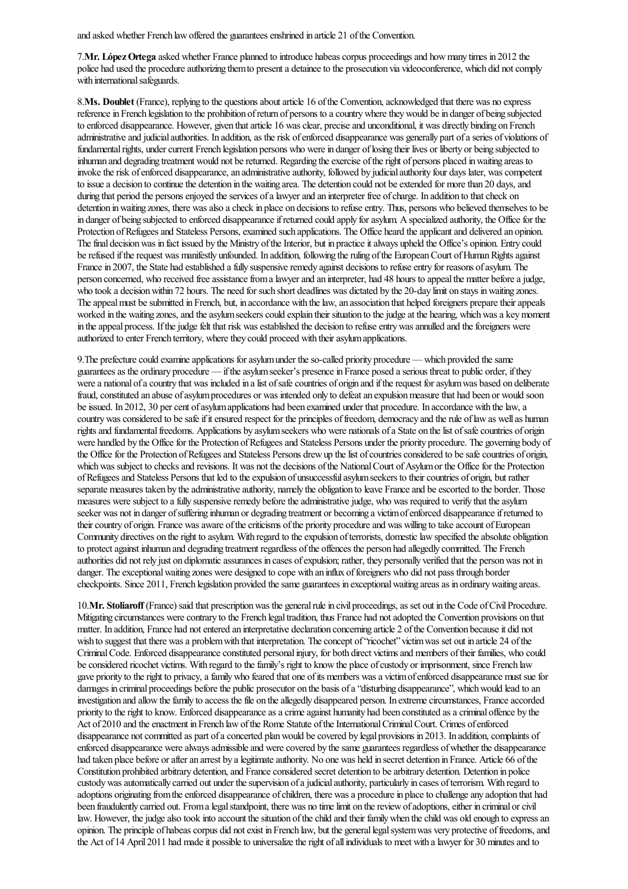and asked whether French law offered the guarantees enshrined in article 21 of the Convention.

7.**Mr. LópezOrtega** asked whether France planned to introduce habeascorpus proceedingsand howmany times in 2012 the police had used the procedure authorizing them to present a detainee to the prosecution via videoconference, which did not comply with international safeguards.

8.**Ms. Doublet** (France), replying to the questions about article 16 of the Convention, acknowledged that there was no express reference in French legislation to the prohibition of return of persons to a country where they would be in danger of being subjected to enforced disappearance. However, given that article 16 was clear, precise and unconditional, it was directly binding on French administrative and judicial authorities. In addition, as the risk of enforced disappearance was generally part of a series of violations of fundamental rights, under current French legislation persons who were in danger of losing their lives or liberty or being subjected to inhuman and degrading treatment would not be returned. Regarding the exercise of the right of persons placed in waiting areas to invoke the risk of enforced disappearance, an administrative authority, followed by judicial authority four days later, was competent to issue a decision to continue the detention in the waiting area. The detention could not be extended for more than 20 days, and during that period the persons enjoyed the services of a lawyer and an interpreter free of charge. In addition to that check on detention in waiting zones, there was also a check in place on decisions to refuse entry. Thus, persons who believed themselves to be in danger of being subjected to enforced disappearance if returned could apply for asylum. A specialized authority, the Office for the Protection of Refugees and Stateless Persons, examined such applications. The Office heard the applicant and delivered an opinion. The final decision was in fact issued by the Ministry of the Interior, but in practice it always upheld the Office's opinion. Entry could be refused if the request was manifestly unfounded. In addition, following the ruling of the European Court of Human Rights against France in 2007, the State had established a fully suspensive remedy against decisions to refuse entry for reasons of asylum. The person concerned, who received free assistance from a lawyer and an interpreter, had 48 hours to appeal the matter before a judge, who took a decision within 72 hours. The need for such short deadlines was dictated by the 20-day limit on stays in waiting zones. The appeal must be submitted in French, but, in accordance with the law, an association that helped foreigners prepare their appeals worked in the waiting zones, and the asylum seekers could explain their situation to the judge at the hearing, which was a key moment in the appeal process. If the judge felt that risk was established the decision to refuse entry was annulled and the foreigners were authorized to enter French territory, where they could proceed with their asylum applications.

9. The prefecture could examine applications for asylum under the so-called priority procedure — which provided the same guarantees as the ordinary procedure — if the asylum seeker's presence in France posed a serious threat to public order, if they were a national of a country that was included in a list of safe countries of origin and if the request for asylum was based on deliberate fraud, constituted an abuse of asylum procedures or was intended only to defeat an expulsion measure that had been or would soon be issued. In 2012, 30 per cent of asylum applications had been examined under that procedure. In accordance with the law, a country was considered to be safe if it ensured respect for the principles of freedom, democracy and the rule of law as well as human rights and fundamental freedoms. Applications by asylum seekers who were nationals of a State on the list of safe countries of origin were handled by the Office for the Protection of Refugees and Stateless Persons under the priority procedure. The governing body of the Office for the Protection of Refugees and Stateless Persons drew up the list of countries considered to be safe countries of origin, which was subject to checks and revisions. It was not the decisions of the National Court of Asylum or the Office for the Protection of Refugees and Stateless Persons that led to the expulsion of unsuccessful asylum seekers to their countries of origin, but rather separate measures taken by the administrative authority, namely the obligation to leave France and be escorted to the border. Those measures were subject to a fully suspensive remedy before the administrative judge, who was required to verify that the asylum seeker was not in danger of suffering inhuman or degrading treatment or becoming a victim of enforced disappearance if returned to their country of origin. France was aware of the criticisms of the priority procedure and was willing to take account of European Community directives on the right to asylum. With regard to the expulsion of terrorists, domestic law specified the absolute obligation to protect against inhuman and degrading treatment regardless of the offences the person had allegedly committed. The French authorities did not rely just on diplomaticassurances in cases ofexpulsion; rather, they personally verified that the personwas not in danger. The exceptional waiting zones were designed to cope with an influx of foreigners who did not pass through border checkpoints. Since 2011, French legislation provided the same guarantees in exceptional waiting areas as in ordinary waiting areas.

10.Mr. Stoliaroff (France) said that prescription was the general rule in civil proceedings, as set out in the Code of Civil Procedure. Mitigating circumstances were contrary to the French legal tradition, thus France had not adopted the Convention provisions on that matter. In addition, France had not entered an interpretative declaration concerning article 2 of the Convention because it did not wish to suggest that there was a problem with that interpretation. The concept of "ricochet" victim was set out in article 24 of the Criminal Code. Enforced disappearance constituted personal injury, for both direct victims and members of their families, who could be considered ricochet victims. With regard to the family's right to know the place of custody or imprisonment, since French law gave priority to the right to privacy, a family who feared that one of its members was a victim of enforced disappearance must sue for damages in criminal proceedings before the public prosecutor on the basis of a "disturbing disappearance", which would lead to an investigation and allow the family to access the file on the allegedly disappeared person. In extreme circumstances, France accorded priority to the right to know. Enforced disappearance as a crime against humanity had been constituted as a criminal offence by the Act of 2010 and the enactment in French law of the Rome Statute of the International Criminal Court. Crimes of enforced disappearance not committed as part of a concerted plan would be covered by legal provisions in 2013. In addition, complaints of enforced disappearance were always admissible and were covered by the same guarantees regardless of whether the disappearance had taken place before or after an arrest by a legitimate authority. No one was held in secret detention in France. Article 66 of the Constitution prohibited arbitrary detention, and France considered secret detention to be arbitrary detention. Detention in police custodywasautomatically carried out under thesupervision ofajudicialauthority, particularly in cases ofterrorism. With regard to adoptions originating from the enforced disappearance of children, there was a procedure in place to challenge any adoption that had been fraudulently carried out. From a legal standpoint, there was no time limit on the review of adoptions, either in criminal or civil law. However, the judge also took into account the situation of the child and their family when the child was old enough to express an opinion. The principle of habeas corpus did not exist in French law, but the general legal system was very protective of freedoms, and the Act of 14 April 2011 had made it possible to universalize the right of all individuals to meet with a lawyer for 30 minutes and to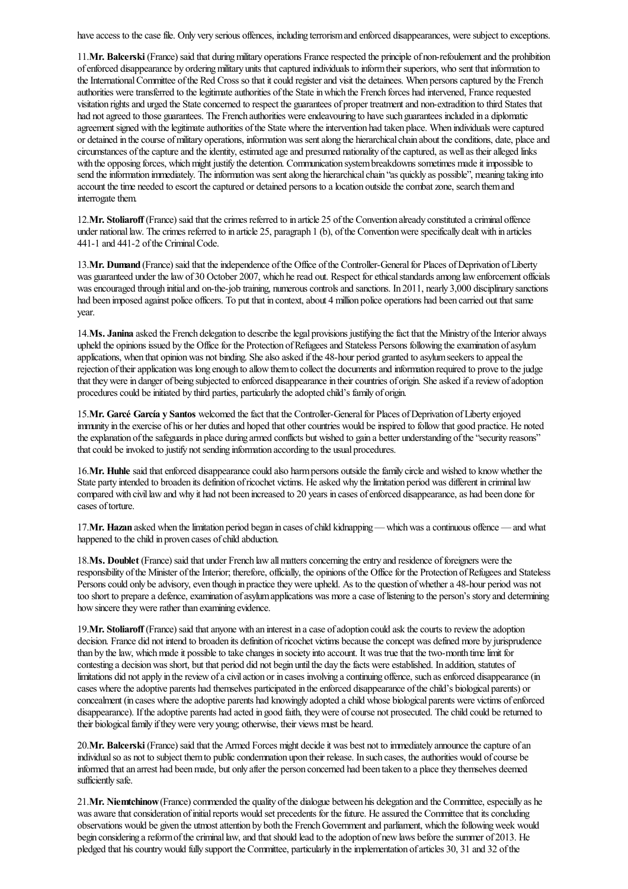have access to the case file. Only very serious offences, including terrorism and enforced disappearances, were subject to exceptions.

11.**Mr. Balcerski** (France) said that duringmilitary operations Francerespected the principle of non-refoulementand the prohibition ofenforced disappearance by orderingmilitary units thatcaptured individuals to informtheir superiors, who sent that information to the International Committee of the Red Cross so that it could register and visit the detainees. When persons captured by the French authorities were transferred to the legitimate authorities of the State in which the French forces had intervened, France requested visitation rights and urged the State concerned to respect the guarantees of proper treatment and non-extradition to third States that had not agreed to those guarantees. The French authorities were endeavouring to have such guarantees included in a diplomatic agreement signed with the legitimate authorities of the State where the intervention had taken place. When individuals were captured or detained in the course of military operations, information was sent along the hierarchical chain about the conditions, date, place and circumstances of the capture and the identity, estimated age and presumed nationality of the captured, as well as their alleged links with the opposing forces, which might justify the detention. Communication system breakdowns sometimes made it impossible to send the information immediately. The information was sent along the hierarchical chain "as quickly as possible", meaning taking into account the time needed to escort the captured or detained persons to a location outside the combat zone, search them and interrogate them.

12.**Mr. Stoliaroff** (France) said that thecrimes referred to in article 25 ofthe Convention already constituted acriminal offence under national law. The crimes referred to in article 25, paragraph 1 (b), of the Convention were specifically dealt with in articles 441-1 and 441-2 of the Criminal Code.

13.Mr. Dumand (France) said that the independence of the Office of the Controller-General for Places of Deprivation of Liberty was guaranteed under the law of 30 October 2007, which he read out. Respect for ethical standards among law enforcement officials was encouraged through initial and on-the-job training, numerous controls and sanctions. In 2011, nearly 3,000 disciplinary sanctions had been imposed against police officers. To put that in context, about 4 million police operations had been carried out that same year.

14.Ms. Janina asked the French delegation to describe the legal provisions justifying the fact that the Ministry of the Interior always upheld the opinions issued by the Office for the Protection of Refugees and Stateless Persons following the examination of asylum applications, when that opinion was not binding. She also asked if the 48-hour period granted to asylum seekers to appeal the rejection of their application was long enough to allow them to collect the documents and information required to prove to the judge that they were in danger of being subjected to enforced disappearance in their countries of origin. She asked if a review of adoption procedures could be initiated by third parties, particularly the adopted child's family of origin.

15.**Mr. Garcé García y Santos** welcomed thefact that the Controller-Generalfor Places ofDeprivation ofLiberty enjoyed immunity in the exercise of his or her duties and hoped that other countries would be inspired to follow that good practice. He noted the explanation of the safeguards in place during armed conflicts but wished to gain a better understanding of the "security reasons" that could be invoked to justify not sending information according to the usual procedures.

16.**Mr. Huhle** said that enforced disappearance could also harm persons outside the family circle and wished to know whether the State party intended to broaden its definition of ricochet victims. He asked why the limitation period was different in criminal law compared with civil law and why it had not been increased to 20 years in cases of enforced disappearance, as had been done for cases of torture.

17.**Mr. Hazan** asked when the limitation period began in cases of child kidnapping — which was a continuous offence — and what happened to the child in proven cases of child abduction.

18.Ms. Doublet (France) said that under French law all matters concerning the entry and residence of foreigners were the responsibility of the Minister of the Interior; therefore, officially, the opinions of the Office for the Protection of Refugees and Stateless Persons could only be advisory, even though in practice they were upheld. As to the question of whether a 48-hour period was not too short to prepare a defence, examination of asylum applications was more a case of listening to the person's story and determining how sincere they were rather than examining evidence.

19.**Mr. Stoliaroff** (France) said that anyone with an interest in a case of adoption could ask the courts to review the adoption decision. France did not intend to broaden its definition of ricochet victims because the concept was defined more by jurisprudence than by the law, which made it possible to take changes in society into account. It was true that the two-month time limit for contesting a decision was short, but that period did not begin until the day the facts were established. In addition, statutes of limitations did not apply in the review of a civil action or in cases involving a continuing offence, such as enforced disappearance (in cases where the adoptive parents had themselves participated in the enforced disappearance of the child's biological parents) or concealment (in cases where the adoptive parents had knowingly adopted a child whose biological parents were victims of enforced disappearance). If the adoptive parents had acted in good faith, they were of course not prosecuted. The child could be returned to their biological family if they were very young; otherwise, their views must be heard.

20.**Mr. Balcerski** (France) said that the Armed Forces might decide it was best not to immediately announce the capture of an individual so as not to subject them to public condemnation upon their release. In such cases, the authorities would of course be informed thatan arrest had beenmade, but only after the person concerned had been taken to a placethey themselves deemed sufficiently safe.

21.**Mr. Niemtchinow** (France) commended the quality of the dialogue between his delegation and the Committee, especially as he was aware that consideration of initial reports would set precedents for the future. He assured the Committee that its concluding observations would be given the utmost attention by both the French Government and parliament, which the following week would begin considering a reform of the criminal law, and that should lead to the adoption of new laws before the summer of 2013. He pledged that hiscountrywould fully support the Committee, particularly in theimplementation ofarticles 30, 31 and 32 ofthe